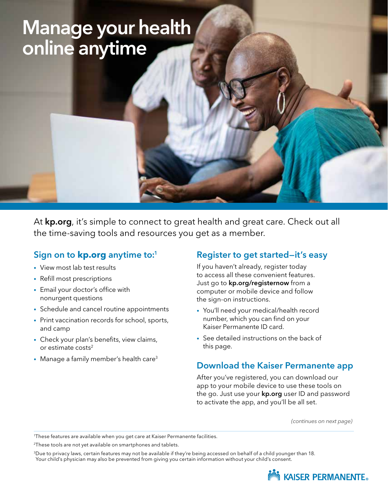# Manage your health online anytime

At [kp.org](http://kp.org), it's simple to connect to great health and great care. Check out all the time-saving tools and resources you get as a member.

## Sign on to **[kp.org](http://kp.org)** anytime to:1

- View most lab test results
- Refill most prescriptions
- Email your doctor's office with nonurgent questions
- Schedule and cancel routine appointments
- Print vaccination records for school, sports, and camp
- Check your plan's benefits, view claims, or estimate  $costs<sup>2</sup>$
- Manage a family member's health care<sup>3</sup>

#### Register to get started—it's easy

If you haven't already, register today to access all these convenient features. Just go to **[kp.org/registernow](http://kp.org/registernow)** from a computer or mobile device and follow the sign-on instructions.

- You'll need your medical/health record number, which you can find on your Kaiser Permanente ID card.
- See detailed instructions on the back of this page.

### Download the Kaiser Permanente app

After you've registered, you can download our app to your mobile device to use these tools on the go. Just use your [kp.org](http://kp.org) user ID and password to activate the app, and you'll be all set.

*(continues on next page)*

3Due to privacy laws, certain features may not be available if they're being accessed on behalf of a child younger than 18. Your child's physician may also be prevented from giving you certain information without your child's consent.



<sup>1</sup> These features are available when you get care at Kaiser Permanente facilities.

<sup>&</sup>lt;sup>2</sup>These tools are not yet available on smartphones and tablets.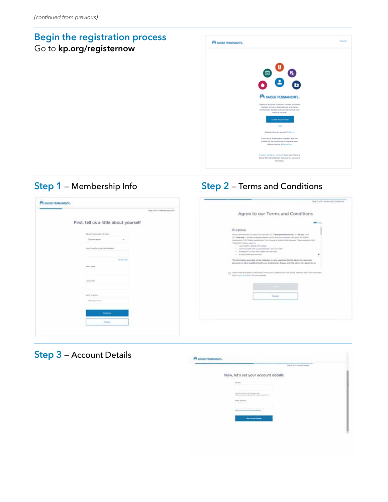## Begin the registration process Go to [kp.org/registernow](http://kp.org/registernow)



## Step 1 – Membership Info Step 2 – Terms and Conditions

| PA XASER PERMANENTLY                                                                                                                                                                                                                                                        | Step 2 of R. Sarena and Constitutes                                                                                                                                                                                                                                                                                                                                                                                                                                                                                                                                                                                                                                                                                                                                                                                                                                                                     |
|-----------------------------------------------------------------------------------------------------------------------------------------------------------------------------------------------------------------------------------------------------------------------------|---------------------------------------------------------------------------------------------------------------------------------------------------------------------------------------------------------------------------------------------------------------------------------------------------------------------------------------------------------------------------------------------------------------------------------------------------------------------------------------------------------------------------------------------------------------------------------------------------------------------------------------------------------------------------------------------------------------------------------------------------------------------------------------------------------------------------------------------------------------------------------------------------------|
| Step I of 6 - Hamburgha trick                                                                                                                                                                                                                                               | Agree to our Terms and Conditions                                                                                                                                                                                                                                                                                                                                                                                                                                                                                                                                                                                                                                                                                                                                                                                                                                                                       |
| First, tell us a little about yourself                                                                                                                                                                                                                                      | <b>PE FOR</b>                                                                                                                                                                                                                                                                                                                                                                                                                                                                                                                                                                                                                                                                                                                                                                                                                                                                                           |
| STURET VIOLA AREE OF CARD.<br><b>Choose request</b><br>relate frommer and an excess the manner<br><b>CONTRACTOR</b><br>Haw it family<br><b>GRET WARE</b><br>LAST MORE<br>UNIT IN LICIN'<br><b>STORY CARDS</b><br><b>ASSAULTS</b> IN AN A<br><b>Common</b> 1<br><b>Canad</b> | Purpose<br>Agree Removable promise had againsted 11. Automatements and at "Malera" and<br>(C) "Mikkeling", a molecule construct principle, which does not accessed Prough & RP Molecule<br>Application (197 Higgs Application) La Rinnulpt a Hollork Stille & Foreign Thiere beliefing (2he<br>"Westerhout") places count for<br>in " later beattle-validad offermation"<br>Collection<br>1. Lammaticum with our precificmes and our kief-<br>1. In recent for street and hard are network<br>1 devest additional behicles.<br>The Internation previous on the Noticellos is hell a substitute for the adverse of a personal<br>physician at silher qualified health care protessional. Always well, the advice of a physician ac-<br>[1] This entered and spiny to the entred Senior and Constitute for you of this wateries, and I have reviewed<br>the Polescy Thermined for this ambilia-<br>Cancer |

## Step 3 - Account Details

|                                                                                                                                                           | ALL FIFE - Rocared streets<br><b>Tempo Territori</b> |
|-----------------------------------------------------------------------------------------------------------------------------------------------------------|------------------------------------------------------|
| Now, let's set your account details<br>아버지는 아이에 아이가 아들이 한 방문을 보면 먹을 먹었어요. 아니라                                                                             |                                                      |
| $-0.004$                                                                                                                                                  |                                                      |
| pair to perfect to the concerns two<br>there are where a given about them when the problem to a<br><b>CONTRACTOR</b><br>The control of the control of the |                                                      |
| 12<br>place, alphanes,<br>Pristing Holl                                                                                                                   |                                                      |
| SPA wa como pine trend planner.                                                                                                                           |                                                      |
| <b>NATIONAL MODEL</b>                                                                                                                                     |                                                      |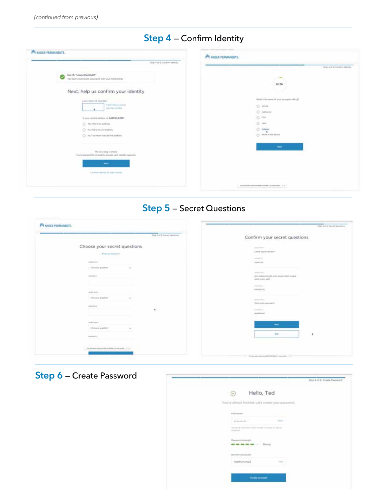|  | Step 4 - Confirm Identity |  |
|--|---------------------------|--|
|--|---------------------------|--|

| F <sup>4</sup> KASER PERMANENTE.                                                          | HA KAISER PERMANENTE.                                                                          |
|-------------------------------------------------------------------------------------------|------------------------------------------------------------------------------------------------|
| Stray 4 of it. Cardone identify                                                           | Stay 4 of 8 Confers Upstity                                                                    |
| User ID, "engrisubactly BB"<br>M<br>has been created and answerled with your investmental | $\frac{1}{2} \left( \frac{1}{2} \right) \left( \frac{1}{2} \right) \left( \frac{1}{2} \right)$ |
|                                                                                           | 01.30                                                                                          |
| Next, help us confirm your identity                                                       |                                                                                                |
| LAST ASSISTANT VIOLATION                                                                  | Athalt is the narra of your youngate salary?                                                   |
| LIGHT New Aren'al<br><b>Milledge Hartware</b>                                             | $O$ - Africa                                                                                   |
|                                                                                           | O. Different                                                                                   |
| It your current address on GARFIELD DRY                                                   | O.14                                                                                           |
| (2) The Ballying address.                                                                 | D mt                                                                                           |
| C NL Rel's my siti address.                                                               | 0.000<br>C: New of the states                                                                  |
| C). No. For meet tived at that address.                                                   |                                                                                                |
|                                                                                           | <b>Section</b>                                                                                 |
| The meet map is trewell.<br>You're played 20 seconds to prove suit control surchan.       |                                                                                                |
| <b>North</b>                                                                              |                                                                                                |
|                                                                                           |                                                                                                |
| Cardina classific be med instead.                                                         |                                                                                                |
|                                                                                           | This document paid the phile distribute 2 is since acting 1 in 17.                             |

## Step 5 — Secret Questions

| <b>P4 KAISER PERMANENTE.</b>                                                              | View Soft & Server Guestions                                     |
|-------------------------------------------------------------------------------------------|------------------------------------------------------------------|
| 1946 Foll K Second Guarterra                                                              | Confirm your secret questions                                    |
| Choose your secret questions                                                              | <b>STATISTICS</b> And Art                                        |
| Mind and Hope Ke-T                                                                        | Long-sourced dist.<br>61 H.K                                     |
|                                                                                           | 200904-011                                                       |
| Judittires 11                                                                             | Asset LM                                                         |
| Chairs e pattion<br>$\sim$                                                                |                                                                  |
| oza                                                                                       | powering it                                                      |
| members and 1.1                                                                           | Said adversing all over gours dollar trages<br>lated took sail . |
|                                                                                           |                                                                  |
|                                                                                           | homester of                                                      |
| materials's                                                                               | Karolei (H)<br>.                                                 |
| _____<br><b>Checke a quasicon</b><br>$\sim$                                               |                                                                  |
|                                                                                           | ● Pyrrom   ノーーー                                                  |
| secretary in                                                                              | Dicks and animately                                              |
| ٠                                                                                         | Annual A. S.                                                     |
|                                                                                           | Assistances                                                      |
| Anderson &                                                                                |                                                                  |
| Service Rob                                                                               | --                                                               |
| District is making<br>$\frac{1}{2} \left( \frac{1}{2} \right) \left( \frac{1}{2} \right)$ |                                                                  |
| assessed a                                                                                | <b>bas</b><br>٠                                                  |
| بردر المتماس                                                                              |                                                                  |
|                                                                                           |                                                                  |
| The discovers was the relation of their climate system. If It is                          |                                                                  |
|                                                                                           | The decrease also be still through 2 case at the 11 to           |

Step 6 - Create Password

|                                                                                     | Uter-6 of 6: Create Password |
|-------------------------------------------------------------------------------------|------------------------------|
| Hello, Ted<br>⊙                                                                     |                              |
| You're almost finalind. Let's create your persword.                                 |                              |
| August 1970<br><b>Fakisions</b>                                                     |                              |
| $\ldots \ldots \ldots \ldots$<br><b>Service</b> 11                                  |                              |
| In term & phaneners' (Real extrade Chartester as determin-<br>check the con-        |                              |
| and a series for their<br>Passworti sistenziti.<br><b>B as as as as as  Litting</b> |                              |
| RETTER FASSIVING                                                                    |                              |
| healthyllvingf2<br><b>CONTRACTOR</b>                                                |                              |
|                                                                                     |                              |
| Create scowart                                                                      |                              |